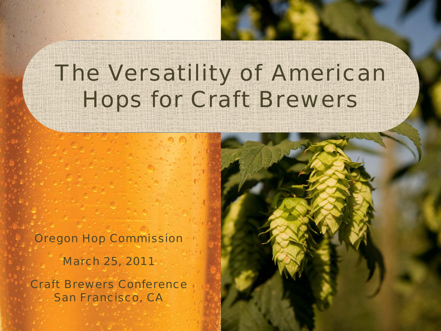# The Versatility of American Hops for Craft Brewers

Oregon Hop Commission March 25, 2011 Craft Brewers Conference San Francisco, CA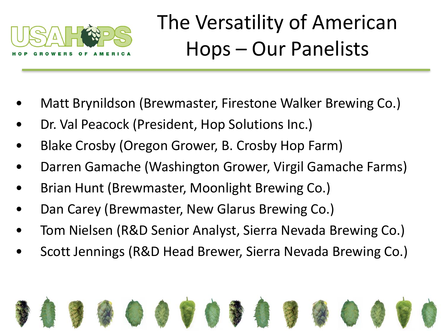

# The Versatility of American Hops – Our Panelists

- Matt Brynildson (Brewmaster, Firestone Walker Brewing Co.)
- Dr. Val Peacock (President, Hop Solutions Inc.)
- Blake Crosby (Oregon Grower, B. Crosby Hop Farm)
- Darren Gamache (Washington Grower, Virgil Gamache Farms)
- Brian Hunt (Brewmaster, Moonlight Brewing Co.)
- Dan Carey (Brewmaster, New Glarus Brewing Co.)
- Tom Nielsen (R&D Senior Analyst, Sierra Nevada Brewing Co.)
- Scott Jennings (R&D Head Brewer, Sierra Nevada Brewing Co.)

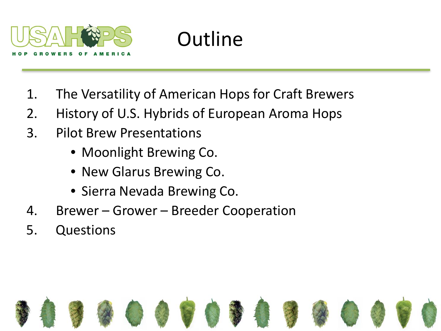

# **Outline**

- 1. The Versatility of American Hops for Craft Brewers
- 2. History of U.S. Hybrids of European Aroma Hops
- 3. Pilot Brew Presentations
	- Moonlight Brewing Co.
	- New Glarus Brewing Co.
	- Sierra Nevada Brewing Co.
- 4. Brewer Grower Breeder Cooperation
- 5. Questions

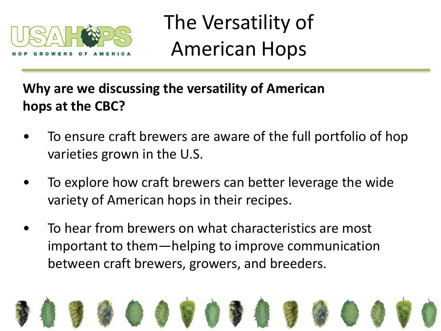

#### **Why are we discussing the versatility of American hops at the CBC?**

- To ensure craft brewers are aware of the full portfolio of hop varieties grown in the U.S.
- To explore how craft brewers can better leverage the wide variety of American hops in their recipes.
- To hear from brewers on what characteristics are most important to them—helping to improve communication between craft brewers, growers, and breeders.

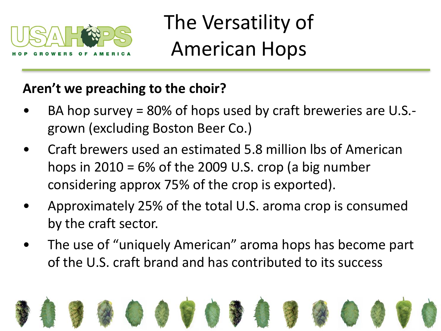

#### **Aren't we preaching to the choir?**

- BA hop survey = 80% of hops used by craft breweries are U.S. grown (excluding Boston Beer Co.)
- Craft brewers used an estimated 5.8 million lbs of American hops in  $2010 = 6\%$  of the 2009 U.S. crop (a big number considering approx 75% of the crop is exported).
- Approximately 25% of the total U.S. aroma crop is consumed by the craft sector.
- The use of "uniquely American" aroma hops has become part of the U.S. craft brand and has contributed to its success

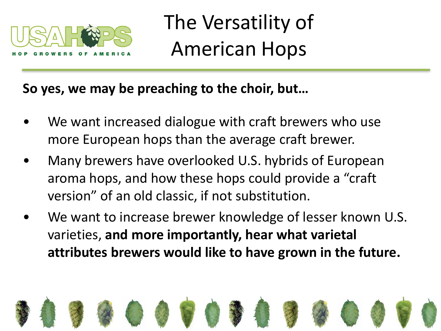

#### **So yes, we may be preaching to the choir, but…**

- We want increased dialogue with craft brewers who use more European hops than the average craft brewer.
- Many brewers have overlooked U.S. hybrids of European aroma hops, and how these hops could provide a "craft version" of an old classic, if not substitution.
- We want to increase brewer knowledge of lesser known U.S. varieties, **and more importantly, hear what varietal attributes brewers would like to have grown in the future.**

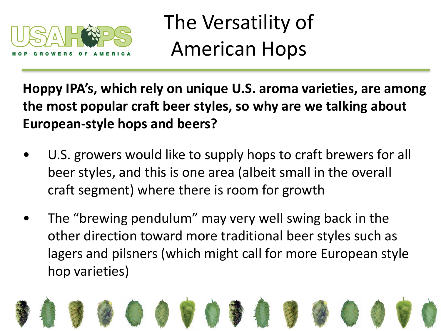

**Hoppy IPA's, which rely on unique U.S. aroma varieties, are among the most popular craft beer styles, so why are we talking about European-style hops and beers?**

- U.S. growers would like to supply hops to craft brewers for all beer styles, and this is one area (albeit small in the overall craft segment) where there is room for growth
- The "brewing pendulum" may very well swing back in the other direction toward more traditional beer styles such as lagers and pilsners (which might call for more European style hop varieties)

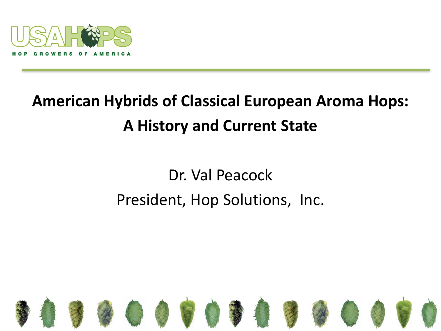

### **American Hybrids of Classical European Aroma Hops: A History and Current State**

#### Dr. Val Peacock President, Hop Solutions, Inc.

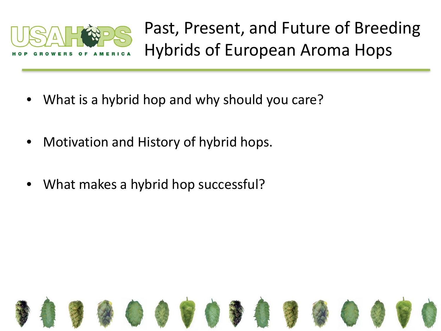

Past, Present, and Future of Breeding Hybrids of European Aroma Hops

- What is a hybrid hop and why should you care?
- Motivation and History of hybrid hops.
- What makes a hybrid hop successful?

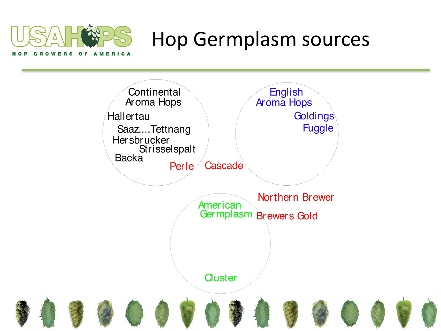

### Hop Germplasm sources

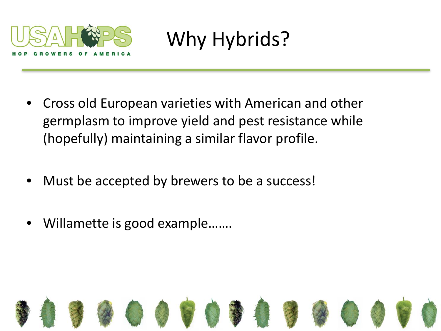

Why Hybrids?

- Cross old European varieties with American and other germplasm to improve yield and pest resistance while (hopefully) maintaining a similar flavor profile.
- Must be accepted by brewers to be a success!
- Willamette is good example.......

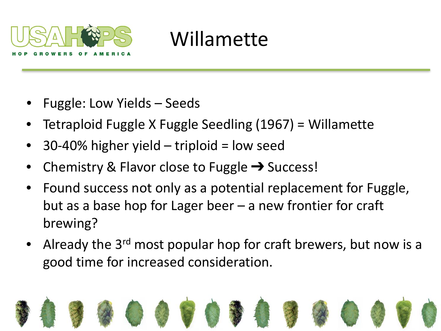

## Willamette

- Fuggle: Low Yields Seeds
- Tetraploid Fuggle X Fuggle Seedling (1967) = Willamette
- $30-40\%$  higher yield triploid = low seed
- Chemistry & Flavor close to Fuggle  $\rightarrow$  Success!
- Found success not only as a potential replacement for Fuggle, but as a base hop for Lager beer – a new frontier for craft brewing?
- Already the 3<sup>rd</sup> most popular hop for craft brewers, but now is a good time for increased consideration.

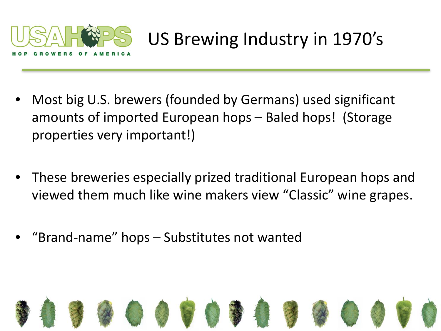

### US Brewing Industry in 1970's

- Most big U.S. brewers (founded by Germans) used significant amounts of imported European hops – Baled hops! (Storage properties very important!)
- These breweries especially prized traditional European hops and viewed them much like wine makers view "Classic" wine grapes.
- "Brand-name" hops Substitutes not wanted

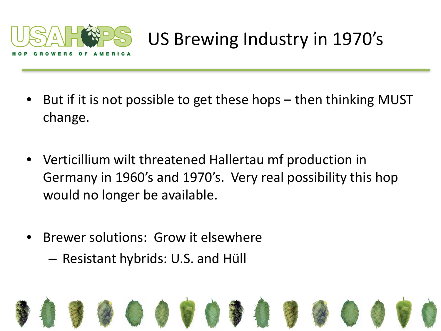

### US Brewing Industry in 1970's

- But if it is not possible to get these hops then thinking MUST change.
- Verticillium wilt threatened Hallertau mf production in Germany in 1960's and 1970's. Very real possibility this hop would no longer be available.
- Brewer solutions: Grow it elsewhere
	- Resistant hybrids: U.S. and Hüll

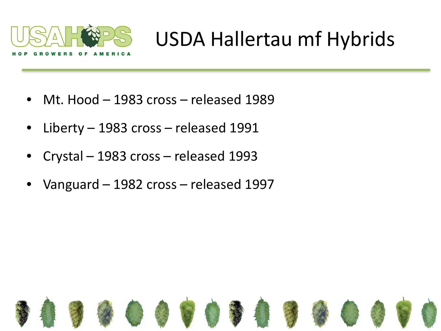

## USDA Hallertau mf Hybrids

- Mt. Hood 1983 cross released 1989
- Liberty 1983 cross released 1991
- Crystal 1983 cross released 1993
- Vanguard 1982 cross released 1997

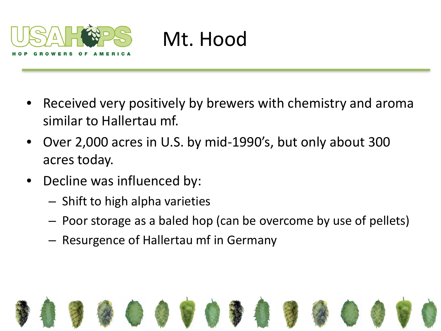

## Mt. Hood

- Received very positively by brewers with chemistry and aroma similar to Hallertau mf.
- Over 2,000 acres in U.S. by mid-1990's, but only about 300 acres today.
- Decline was influenced by:
	- Shift to high alpha varieties
	- Poor storage as a baled hop (can be overcome by use of pellets)
	- Resurgence of Hallertau mf in Germany

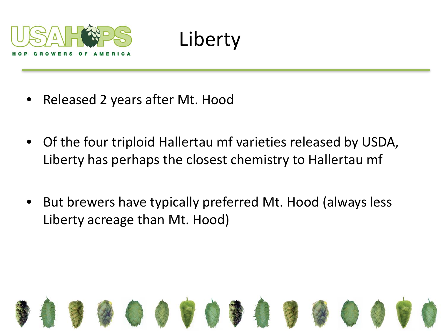

# Liberty

- Released 2 years after Mt. Hood
- Of the four triploid Hallertau mf varieties released by USDA, Liberty has perhaps the closest chemistry to Hallertau mf
- But brewers have typically preferred Mt. Hood (always less Liberty acreage than Mt. Hood)

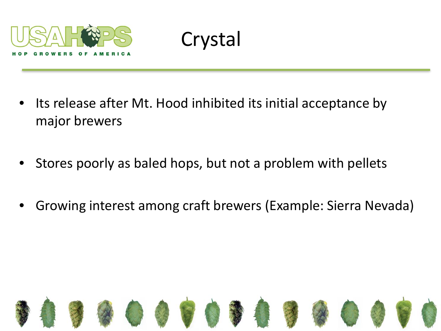

Crystal

- Its release after Mt. Hood inhibited its initial acceptance by major brewers
- Stores poorly as baled hops, but not a problem with pellets
- Growing interest among craft brewers (Example: Sierra Nevada)

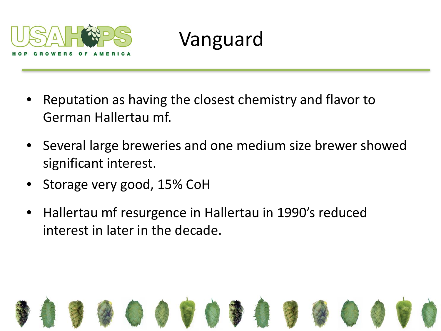

## Vanguard

- Reputation as having the closest chemistry and flavor to German Hallertau mf.
- Several large breweries and one medium size brewer showed significant interest.
- Storage very good, 15% CoH
- Hallertau mf resurgence in Hallertau in 1990's reduced interest in later in the decade.

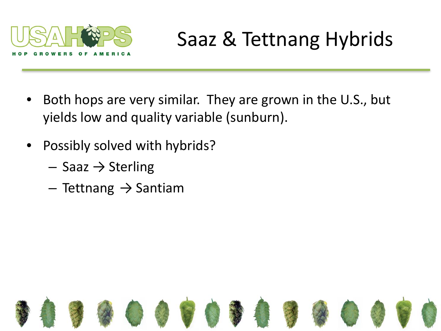

# Saaz & Tettnang Hybrids

- Both hops are very similar. They are grown in the U.S., but yields low and quality variable (sunburn).
- Possibly solved with hybrids?
	- $-$  Saaz  $\rightarrow$  Sterling
	- $-$  Tettnang  $\rightarrow$  Santiam

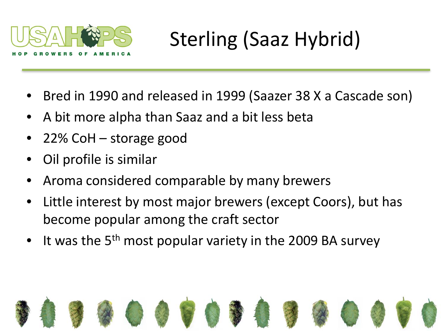

# Sterling (Saaz Hybrid)

- Bred in 1990 and released in 1999 (Saazer 38 X a Cascade son)
- A bit more alpha than Saaz and a bit less beta
- 22% CoH storage good
- Oil profile is similar
- Aroma considered comparable by many brewers
- Little interest by most major brewers (except Coors), but has become popular among the craft sector
- It was the  $5<sup>th</sup>$  most popular variety in the 2009 BA survey

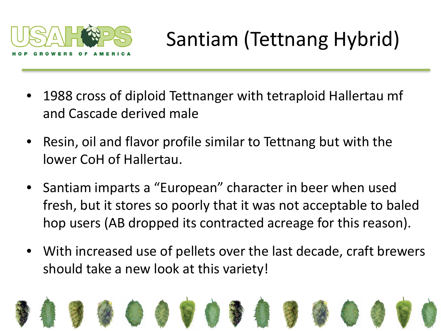

# Santiam (Tettnang Hybrid)

- 1988 cross of diploid Tettnanger with tetraploid Hallertau mf and Cascade derived male
- Resin, oil and flavor profile similar to Tettnang but with the lower CoH of Hallertau.
- Santiam imparts a "European" character in beer when used fresh, but it stores so poorly that it was not acceptable to baled hop users (AB dropped its contracted acreage for this reason).
- With increased use of pellets over the last decade, craft brewers should take a new look at this variety!

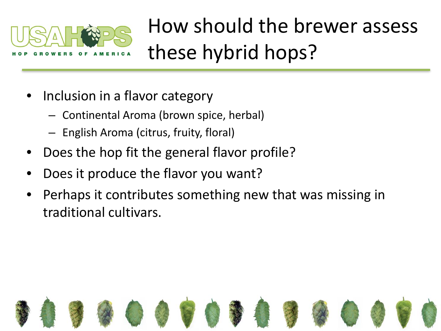

How should the brewer assess these hybrid hops?

- Inclusion in a flavor category
	- Continental Aroma (brown spice, herbal)
	- English Aroma (citrus, fruity, floral)
- Does the hop fit the general flavor profile?
- Does it produce the flavor you want?
- Perhaps it contributes something new that was missing in traditional cultivars.

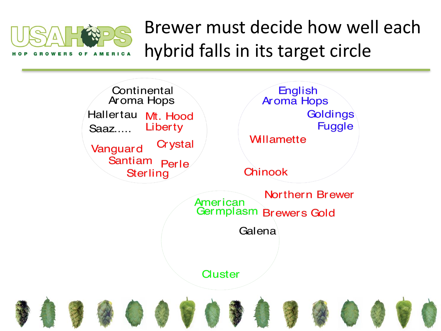

Brewer must decide how well each hybrid falls in its target circle

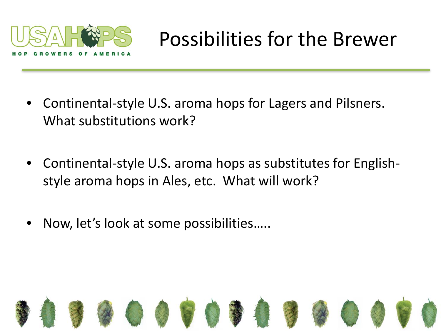

## Possibilities for the Brewer

- Continental-style U.S. aroma hops for Lagers and Pilsners. What substitutions work?
- Continental-style U.S. aroma hops as substitutes for Englishstyle aroma hops in Ales, etc. What will work?
- Now, let's look at some possibilities…..

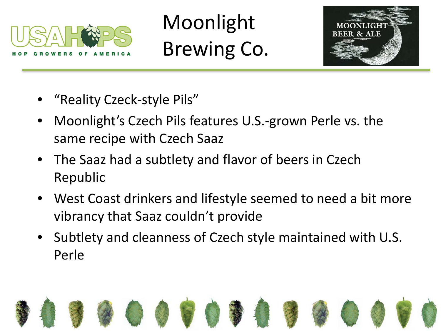

Moonlight Brewing Co.



- "Reality Czeck-style Pils"
- Moonlight's Czech Pils features U.S.-grown Perle vs. the same recipe with Czech Saaz
- The Saaz had a subtlety and flavor of beers in Czech Republic
- West Coast drinkers and lifestyle seemed to need a bit more vibrancy that Saaz couldn't provide
- Subtlety and cleanness of Czech style maintained with U.S. Perle

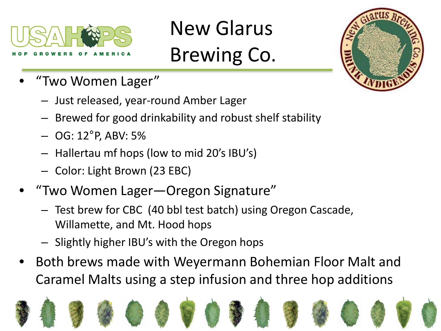

# New Glarus Brewing Co.



- "Two Women Lager"
	- Just released, year-round Amber Lager
	- Brewed for good drinkability and robust shelf stability
	- OG: 12°P, ABV: 5%
	- Hallertau mf hops (low to mid 20's IBU's)
	- Color: Light Brown (23 EBC)
- "Two Women Lager—Oregon Signature"
	- Test brew for CBC (40 bbl test batch) using Oregon Cascade, Willamette, and Mt. Hood hops
	- Slightly higher IBU's with the Oregon hops
- Both brews made with Weyermann Bohemian Floor Malt and Caramel Malts using a step infusion and three hop additions

















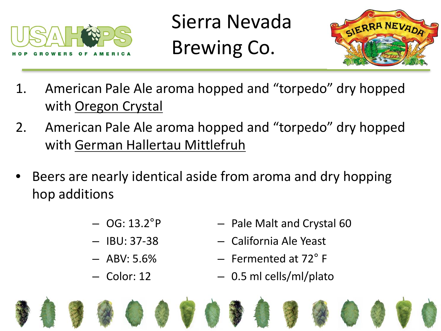

Sierra Nevada Brewing Co.



- 1. American Pale Ale aroma hopped and "torpedo" dry hopped with **Oregon Crystal**
- 2. American Pale Ale aroma hopped and "torpedo" dry hopped with German Hallertau Mittlefruh
- Beers are nearly identical aside from aroma and dry hopping hop additions
	- $-$  OG: 13.2 $^{\circ}$ P
	- $-$  IBU: 37-38
	- $-$  ABV: 5.6%
	- Color: 12
- Pale Malt and Crystal 60
- California Ale Yeast
- Fermented at 72° F
- 0.5 ml cells/ml/plato

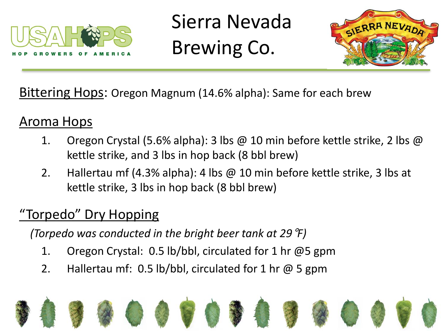

Sierra Nevada Brewing Co.



Bittering Hops: Oregon Magnum (14.6% alpha): Same for each brew

#### Aroma Hops

- 1. Oregon Crystal (5.6% alpha): 3 lbs @ 10 min before kettle strike, 2 lbs @ kettle strike, and 3 lbs in hop back (8 bbl brew)
- 2. Hallertau mf (4.3% alpha): 4 lbs @ 10 min before kettle strike, 3 lbs at kettle strike, 3 lbs in hop back (8 bbl brew)

#### "Torpedo" Dry Hopping

*(Torpedo was conducted in the bright beer tank at 29*°*F)*

- 1. Oregon Crystal: 0.5 lb/bbl, circulated for 1 hr @5 gpm
- 2. Hallertau mf: 0.5 lb/bbl, circulated for 1 hr @ 5 gpm

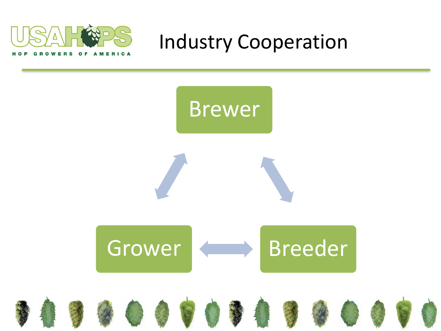

Industry Cooperation

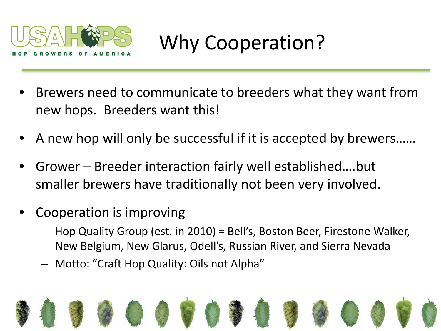

# Why Cooperation?

- Brewers need to communicate to breeders what they want from new hops. Breeders want this!
- A new hop will only be successful if it is accepted by brewers……
- Grower Breeder interaction fairly well established….but smaller brewers have traditionally not been very involved.
- Cooperation is improving
	- Hop Quality Group (est. in 2010) = Bell's, Boston Beer, Firestone Walker, New Belgium, New Glarus, Odell's, Russian River, and Sierra Nevada
	- Motto: "Craft Hop Quality: Oils not Alpha"